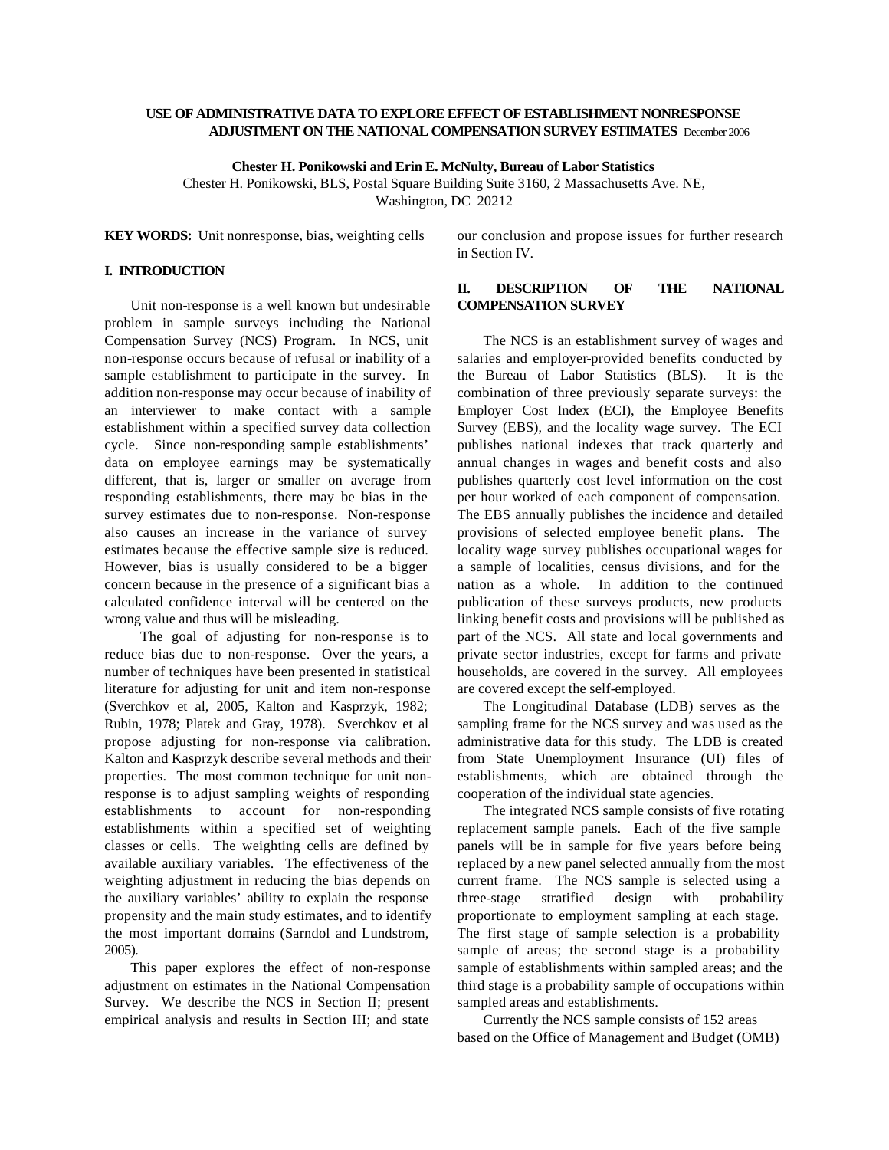# **USE OF ADMINISTRATIVE DATA TO EXPLORE EFFECT OF ESTABLISHMENT NONRESPONSE ADJUSTMENT ON THE NATIONAL COMPENSATION SURVEY ESTIMATES** December 2006

**Chester H. Ponikowski and Erin E. McNulty, Bureau of Labor Statistics**

Chester H. Ponikowski, BLS, Postal Square Building Suite 3160, 2 Massachusetts Ave. NE,

Washington, DC 20212

**KEY WORDS:** Unit nonresponse, bias, weighting cells

## **I. INTRODUCTION**

Unit non-response is a well known but undesirable problem in sample surveys including the National Compensation Survey (NCS) Program. In NCS, unit non-response occurs because of refusal or inability of a sample establishment to participate in the survey. In addition non-response may occur because of inability of an interviewer to make contact with a sample establishment within a specified survey data collection cycle. Since non-responding sample establishments' data on employee earnings may be systematically different, that is, larger or smaller on average from responding establishments, there may be bias in the survey estimates due to non-response. Non-response also causes an increase in the variance of survey estimates because the effective sample size is reduced. However, bias is usually considered to be a bigger concern because in the presence of a significant bias a calculated confidence interval will be centered on the wrong value and thus will be misleading.

 The goal of adjusting for non-response is to reduce bias due to non-response. Over the years, a number of techniques have been presented in statistical literature for adjusting for unit and item non-response (Sverchkov et al, 2005, Kalton and Kasprzyk, 1982; Rubin, 1978; Platek and Gray, 1978). Sverchkov et al propose adjusting for non-response via calibration. Kalton and Kasprzyk describe several methods and their properties. The most common technique for unit nonresponse is to adjust sampling weights of responding establishments to account for non-responding establishments within a specified set of weighting classes or cells. The weighting cells are defined by available auxiliary variables. The effectiveness of the weighting adjustment in reducing the bias depends on the auxiliary variables' ability to explain the response propensity and the main study estimates, and to identify the most important domains (Sarndol and Lundstrom, 2005).

This paper explores the effect of non-response adjustment on estimates in the National Compensation Survey. We describe the NCS in Section II; present empirical analysis and results in Section III; and state

our conclusion and propose issues for further research in Section IV.

# **II. DESCRIPTION OF THE NATIONAL COMPENSATION SURVEY**

The NCS is an establishment survey of wages and salaries and employer-provided benefits conducted by the Bureau of Labor Statistics (BLS). It is the combination of three previously separate surveys: the Employer Cost Index (ECI), the Employee Benefits Survey (EBS), and the locality wage survey. The ECI publishes national indexes that track quarterly and annual changes in wages and benefit costs and also publishes quarterly cost level information on the cost per hour worked of each component of compensation. The EBS annually publishes the incidence and detailed provisions of selected employee benefit plans. The locality wage survey publishes occupational wages for a sample of localities, census divisions, and for the nation as a whole. In addition to the continued publication of these surveys products, new products linking benefit costs and provisions will be published as part of the NCS. All state and local governments and private sector industries, except for farms and private households, are covered in the survey. All employees are covered except the self-employed.

The Longitudinal Database (LDB) serves as the sampling frame for the NCS survey and was used as the administrative data for this study. The LDB is created from State Unemployment Insurance (UI) files of establishments, which are obtained through the cooperation of the individual state agencies.

The integrated NCS sample consists of five rotating replacement sample panels. Each of the five sample panels will be in sample for five years before being replaced by a new panel selected annually from the most current frame. The NCS sample is selected using a three-stage stratified design with probability proportionate to employment sampling at each stage. The first stage of sample selection is a probability sample of areas; the second stage is a probability sample of establishments within sampled areas; and the third stage is a probability sample of occupations within sampled areas and establishments.

Currently the NCS sample consists of 152 areas based on the Office of Management and Budget (OMB)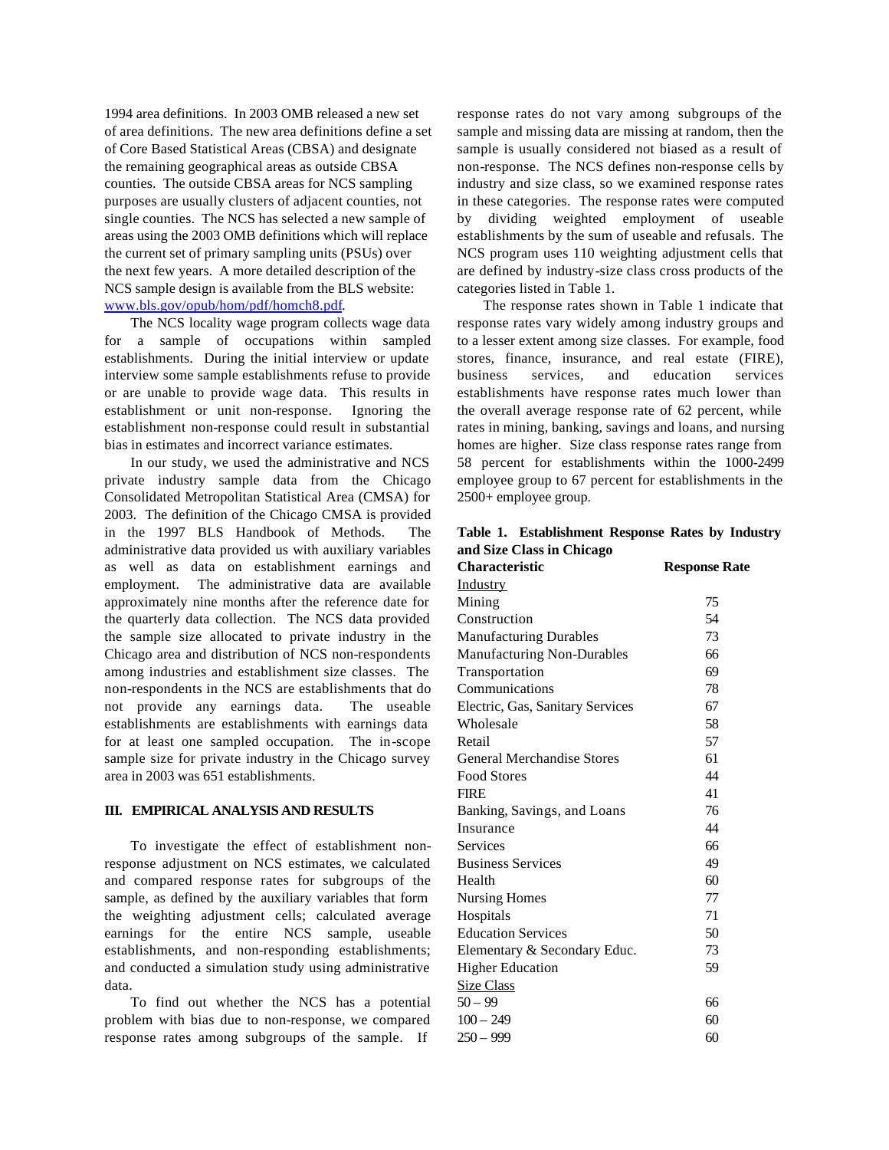1994 area definitions. In 2003 OMB released a new set of area definitions. The new area definitions define a set of Core Based Statistical Areas (CBSA) and designate the remaining geographical areas as outside CBSA counties. The outside CBSA areas for NCS sampling purposes are usually clusters of adjacent counties, not single counties. The NCS has selected a new sample of areas using the 2003 OMB definitions which will replace the current set of primary sampling units (PSUs) over the next few years. A more detailed description of the NCS sample design is available from the BLS website: www.bls.gov/opub/hom/pdf/homch8.pdf.

The NCS locality wage program collects wage data for a sample of occupations within sampled establishments. During the initial interview or update interview some sample establishments refuse to provide or are unable to provide wage data. This results in establishment or unit non-response. Ignoring the establishment non-response could result in substantial bias in estimates and incorrect variance estimates.

In our study, we used the administrative and NCS private industry sample data from the Chicago Consolidated Metropolitan Statistical Area (CMSA) for 2003. The definition of the Chicago CMSA is provided in the 1997 BLS Handbook of Methods. The administrative data provided us with auxiliary variables as well as data on establishment earnings and employment. The administrative data are available approximately nine months after the reference date for the quarterly data collection. The NCS data provided the sample size allocated to private industry in the Chicago area and distribution of NCS non-respondents among industries and establishment size classes. The non-respondents in the NCS are establishments that do not provide any earnings data. The useable establishments are establishments with earnings data for at least one sampled occupation. The in-scope sample size for private industry in the Chicago survey area in 2003 was 651 establishments.

#### **III. EMPIRICAL ANALYSIS AND RESULTS**

To investigate the effect of establishment nonresponse adjustment on NCS estimates, we calculated and compared response rates for subgroups of the sample, as defined by the auxiliary variables that form the weighting adjustment cells; calculated average earnings for the entire NCS sample, useable establishments, and non-responding establishments; and conducted a simulation study using administrative data.

To find out whether the NCS has a potential problem with bias due to non-response, we compared response rates among subgroups of the sample. If

response rates do not vary among subgroups of the sample and missing data are missing at random, then the sample is usually considered not biased as a result of non-response. The NCS defines non-response cells by industry and size class, so we examined response rates in these categories. The response rates were computed by dividing weighted employment of useable establishments by the sum of useable and refusals. The NCS program uses 110 weighting adjustment cells that are defined by industry-size class cross products of the categories listed in Table 1.

The response rates shown in Table 1 indicate that response rates vary widely among industry groups and to a lesser extent among size classes. For example, food stores, finance, insurance, and real estate (FIRE), business services, and education services establishments have response rates much lower than the overall average response rate of 62 percent, while rates in mining, banking, savings and loans, and nursing homes are higher. Size class response rates range from 58 percent for establishments within the 1000-2499 employee group to 67 percent for establishments in the 2500+ employee group.

| and Size Class in Chicago         |                      |
|-----------------------------------|----------------------|
| <b>Characteristic</b>             | <b>Response Rate</b> |
| <b>Industry</b>                   |                      |
| Mining                            | 75                   |
| Construction                      | 54                   |
| <b>Manufacturing Durables</b>     | 73                   |
| <b>Manufacturing Non-Durables</b> | 66                   |
| Transportation                    | 69                   |
| Communications                    | 78                   |
| Electric, Gas, Sanitary Services  | 67                   |
| Wholesale                         | 58                   |
| Retail                            | 57                   |
| <b>General Merchandise Stores</b> | 61                   |
| <b>Food Stores</b>                | 44                   |
| <b>FIRE</b>                       | 41                   |
| Banking, Savings, and Loans       | 76                   |
| Insurance                         | 44                   |
| Services                          | 66                   |
| <b>Business Services</b>          | 49                   |
| Health                            | 60                   |
| <b>Nursing Homes</b>              | 77                   |
| Hospitals                         | 71                   |
| <b>Education Services</b>         | 50                   |
| Elementary & Secondary Educ.      | 73                   |
| <b>Higher Education</b>           | 59                   |
| <b>Size Class</b>                 |                      |
| $50 - 99$                         | 66                   |
| $100 - 249$                       | 60                   |
| $250 - 999$                       | 60                   |
|                                   |                      |

**Table 1. Establishment Response Rates by Industry and Size Class in Chicago**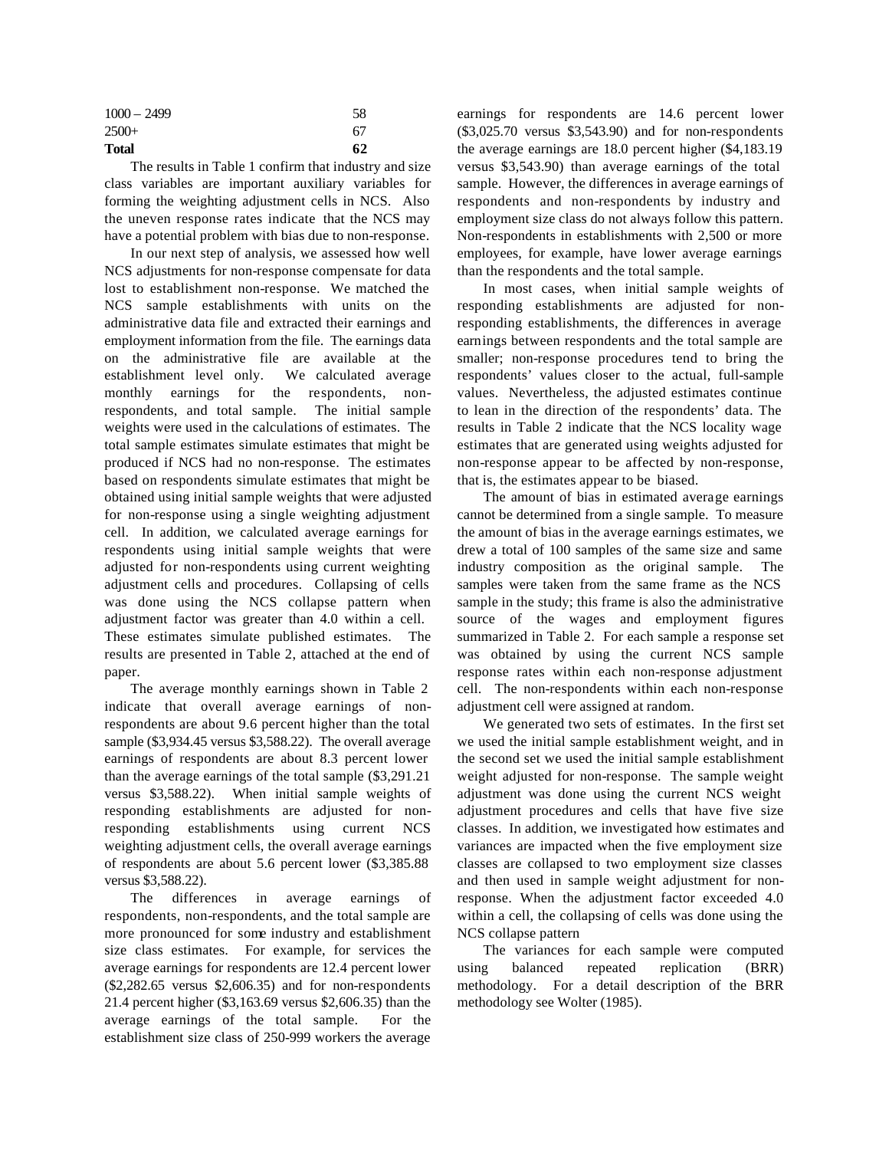| <b>Total</b>  | 62 |
|---------------|----|
| $2500+$       | 67 |
| $1000 - 2499$ | 58 |

The results in Table 1 confirm that industry and size class variables are important auxiliary variables for forming the weighting adjustment cells in NCS. Also the uneven response rates indicate that the NCS may have a potential problem with bias due to non-response.

In our next step of analysis, we assessed how well NCS adjustments for non-response compensate for data lost to establishment non-response. We matched the NCS sample establishments with units on the administrative data file and extracted their earnings and employment information from the file. The earnings data on the administrative file are available at the establishment level only. We calculated average monthly earnings for the respondents, nonrespondents, and total sample. The initial sample weights were used in the calculations of estimates. The total sample estimates simulate estimates that might be produced if NCS had no non-response. The estimates based on respondents simulate estimates that might be obtained using initial sample weights that were adjusted for non-response using a single weighting adjustment cell. In addition, we calculated average earnings for respondents using initial sample weights that were adjusted for non-respondents using current weighting adjustment cells and procedures. Collapsing of cells was done using the NCS collapse pattern when adjustment factor was greater than 4.0 within a cell. These estimates simulate published estimates. The results are presented in Table 2, attached at the end of paper.

The average monthly earnings shown in Table 2 indicate that overall average earnings of nonrespondents are about 9.6 percent higher than the total sample (\$3,934.45 versus \$3,588.22). The overall average earnings of respondents are about 8.3 percent lower than the average earnings of the total sample (\$3,291.21 versus \$3,588.22). When initial sample weights of responding establishments are adjusted for nonresponding establishments using current NCS weighting adjustment cells, the overall average earnings of respondents are about 5.6 percent lower (\$3,385.88 versus \$3,588.22).

The differences in average earnings of respondents, non-respondents, and the total sample are more pronounced for some industry and establishment size class estimates. For example, for services the average earnings for respondents are 12.4 percent lower (\$2,282.65 versus \$2,606.35) and for non-respondents 21.4 percent higher (\$3,163.69 versus \$2,606.35) than the average earnings of the total sample. For the establishment size class of 250-999 workers the average earnings for respondents are 14.6 percent lower (\$3,025.70 versus \$3,543.90) and for non-respondents the average earnings are 18.0 percent higher (\$4,183.19 versus \$3,543.90) than average earnings of the total sample. However, the differences in average earnings of respondents and non-respondents by industry and employment size class do not always follow this pattern. Non-respondents in establishments with 2,500 or more employees, for example, have lower average earnings than the respondents and the total sample.

In most cases, when initial sample weights of responding establishments are adjusted for nonresponding establishments, the differences in average earnings between respondents and the total sample are smaller; non-response procedures tend to bring the respondents' values closer to the actual, full-sample values. Nevertheless, the adjusted estimates continue to lean in the direction of the respondents' data. The results in Table 2 indicate that the NCS locality wage estimates that are generated using weights adjusted for non-response appear to be affected by non-response, that is, the estimates appear to be biased.

The amount of bias in estimated average earnings cannot be determined from a single sample. To measure the amount of bias in the average earnings estimates, we drew a total of 100 samples of the same size and same industry composition as the original sample. The samples were taken from the same frame as the NCS sample in the study; this frame is also the administrative source of the wages and employment figures summarized in Table 2. For each sample a response set was obtained by using the current NCS sample response rates within each non-response adjustment cell. The non-respondents within each non-response adjustment cell were assigned at random.

We generated two sets of estimates. In the first set we used the initial sample establishment weight, and in the second set we used the initial sample establishment weight adjusted for non-response. The sample weight adjustment was done using the current NCS weight adjustment procedures and cells that have five size classes. In addition, we investigated how estimates and variances are impacted when the five employment size classes are collapsed to two employment size classes and then used in sample weight adjustment for nonresponse. When the adjustment factor exceeded 4.0 within a cell, the collapsing of cells was done using the NCS collapse pattern

The variances for each sample were computed using balanced repeated replication (BRR) methodology. For a detail description of the BRR methodology see Wolter (1985).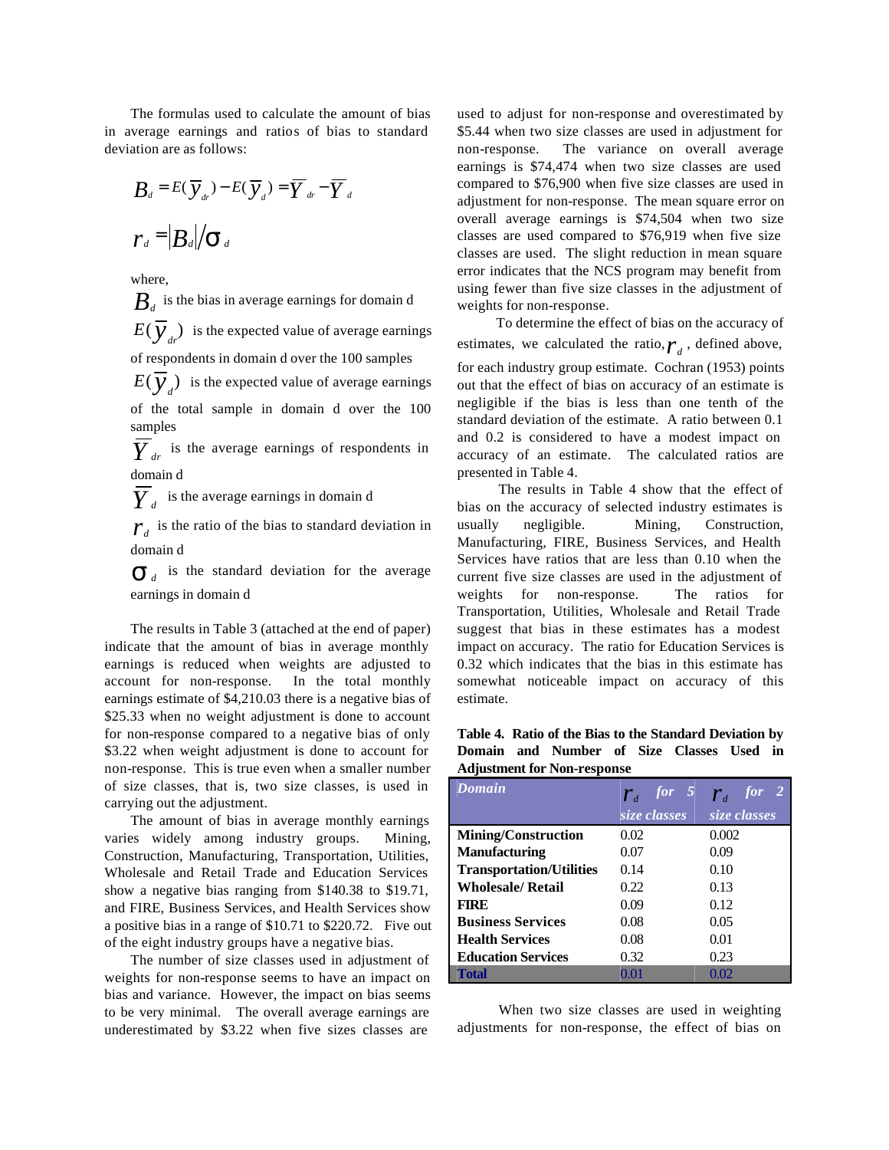The formulas used to calculate the amount of bias in average earnings and ratios of bias to standard deviation are as follows:

$$
B_{d} = E(\overline{y}_{d}) - E(\overline{y}_{d}) = \overline{Y}_{d} - \overline{Y}_{d}
$$

$$
r_{d} = |B_{d}| / S_{d}
$$

where,

 $\boldsymbol{B}_d$  is the bias in average earnings for domain d  $E(\overline{y}_{dr})$  is the expected value of average earnings

of respondents in domain d over the 100 samples

 $E(\overline{y}_d)$  is the expected value of average earnings of the total sample in domain d over the 100 samples

 $Y_{dr}$  is the average earnings of respondents in domain d

 $\boldsymbol{Y}_d$  is the average earnings in domain d

 $r<sub>d</sub>$  is the ratio of the bias to standard deviation in domain d

 $S_d$  is the standard deviation for the average earnings in domain d

The results in Table 3 (attached at the end of paper) indicate that the amount of bias in average monthly earnings is reduced when weights are adjusted to account for non-response. In the total monthly earnings estimate of \$4,210.03 there is a negative bias of \$25.33 when no weight adjustment is done to account for non-response compared to a negative bias of only \$3.22 when weight adjustment is done to account for non-response. This is true even when a smaller number of size classes, that is, two size classes, is used in carrying out the adjustment.

The amount of bias in average monthly earnings varies widely among industry groups. Mining, Construction, Manufacturing, Transportation, Utilities, Wholesale and Retail Trade and Education Services show a negative bias ranging from \$140.38 to \$19.71, and FIRE, Business Services, and Health Services show a positive bias in a range of \$10.71 to \$220.72. Five out of the eight industry groups have a negative bias.

The number of size classes used in adjustment of weights for non-response seems to have an impact on bias and variance. However, the impact on bias seems to be very minimal. The overall average earnings are underestimated by \$3.22 when five sizes classes are

used to adjust for non-response and overestimated by \$5.44 when two size classes are used in adjustment for non-response. The variance on overall average earnings is \$74,474 when two size classes are used compared to \$76,900 when five size classes are used in adjustment for non-response. The mean square error on overall average earnings is \$74,504 when two size classes are used compared to \$76,919 when five size classes are used. The slight reduction in mean square error indicates that the NCS program may benefit from using fewer than five size classes in the adjustment of weights for non-response.

 To determine the effect of bias on the accuracy of estimates, we calculated the ratio,  $r_d$ , defined above, for each industry group estimate. Cochran (1953) points out that the effect of bias on accuracy of an estimate is negligible if the bias is less than one tenth of the standard deviation of the estimate. A ratio between 0.1 and 0.2 is considered to have a modest impact on accuracy of an estimate. The calculated ratios are presented in Table 4.

The results in Table 4 show that the effect of bias on the accuracy of selected industry estimates is usually negligible. Mining, Construction, Manufacturing, FIRE, Business Services, and Health Services have ratios that are less than 0.10 when the current five size classes are used in the adjustment of weights for non-response. The ratios for Transportation, Utilities, Wholesale and Retail Trade suggest that bias in these estimates has a modest impact on accuracy. The ratio for Education Services is 0.32 which indicates that the bias in this estimate has somewhat noticeable impact on accuracy of this estimate.

**Table 4. Ratio of the Bias to the Standard Deviation by Domain and Number of Size Classes Used in Adjustment for Non-response** 

| Domain                          | for $5$<br>$r_{\rm d}$ | for<br>$r_{\scriptscriptstyle d}$ |
|---------------------------------|------------------------|-----------------------------------|
|                                 | size classes           | size classes                      |
| <b>Mining/Construction</b>      | 0.02                   | 0.002                             |
| <b>Manufacturing</b>            | 0.07                   | 0.09                              |
| <b>Transportation/Utilities</b> | 0.14                   | 0.10                              |
| <b>Wholesale/ Retail</b>        | 0.22                   | 0.13                              |
| <b>FIRE</b>                     | 0.09                   | 0.12                              |
| <b>Business Services</b>        | 0.08                   | 0.05                              |
| <b>Health Services</b>          | 0.08                   | 0.01                              |
| <b>Education Services</b>       | 0.32                   | 0.23                              |
| Total                           | 0.01                   | 0.02                              |

When two size classes are used in weighting adjustments for non-response, the effect of bias on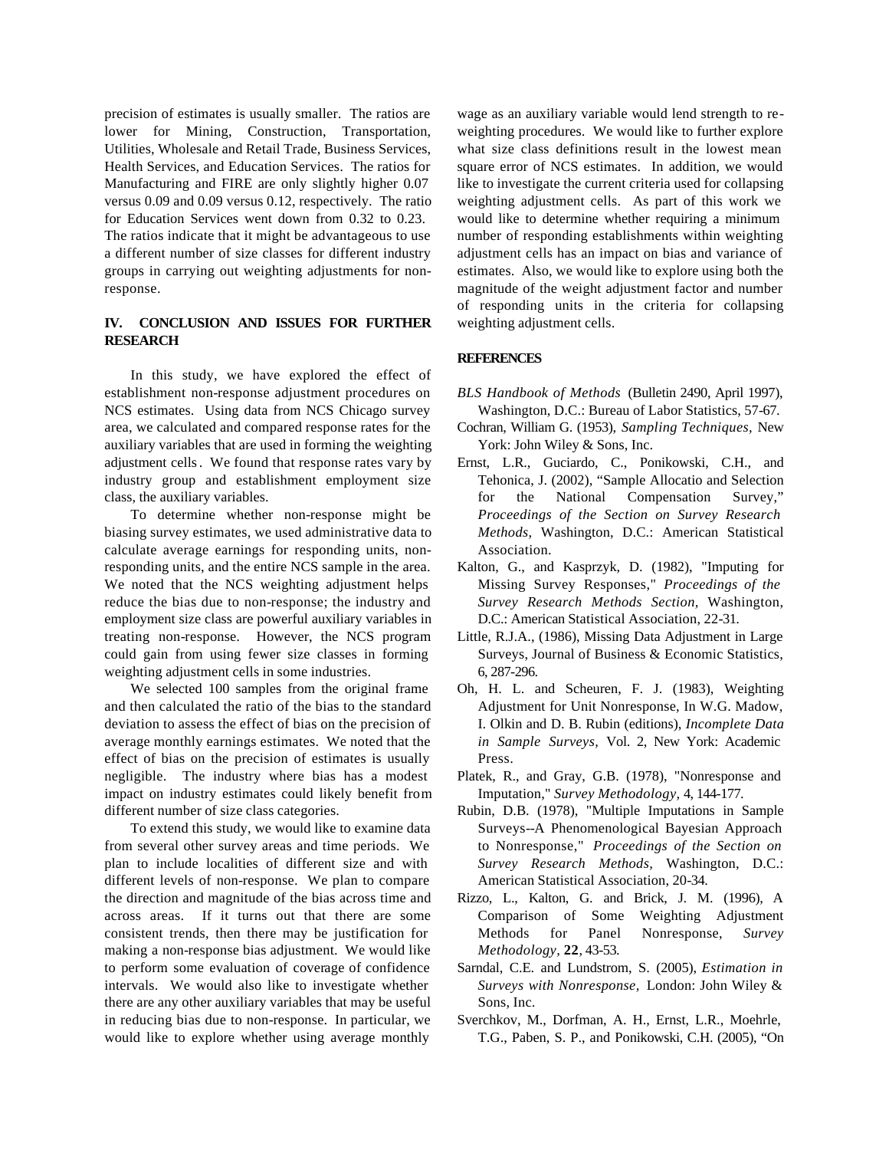precision of estimates is usually smaller. The ratios are lower for Mining, Construction, Transportation, Utilities, Wholesale and Retail Trade, Business Services, Health Services, and Education Services. The ratios for Manufacturing and FIRE are only slightly higher 0.07 versus 0.09 and 0.09 versus 0.12, respectively. The ratio for Education Services went down from 0.32 to 0.23. The ratios indicate that it might be advantageous to use a different number of size classes for different industry groups in carrying out weighting adjustments for nonresponse.

# **IV. CONCLUSION AND ISSUES FOR FURTHER RESEARCH**

In this study, we have explored the effect of establishment non-response adjustment procedures on NCS estimates. Using data from NCS Chicago survey area, we calculated and compared response rates for the auxiliary variables that are used in forming the weighting adjustment cells. We found that response rates vary by industry group and establishment employment size class, the auxiliary variables.

To determine whether non-response might be biasing survey estimates, we used administrative data to calculate average earnings for responding units, nonresponding units, and the entire NCS sample in the area. We noted that the NCS weighting adjustment helps reduce the bias due to non-response; the industry and employment size class are powerful auxiliary variables in treating non-response. However, the NCS program could gain from using fewer size classes in forming weighting adjustment cells in some industries.

We selected 100 samples from the original frame and then calculated the ratio of the bias to the standard deviation to assess the effect of bias on the precision of average monthly earnings estimates. We noted that the effect of bias on the precision of estimates is usually negligible. The industry where bias has a modest impact on industry estimates could likely benefit from different number of size class categories.

To extend this study, we would like to examine data from several other survey areas and time periods. We plan to include localities of different size and with different levels of non-response. We plan to compare the direction and magnitude of the bias across time and across areas. If it turns out that there are some consistent trends, then there may be justification for making a non-response bias adjustment. We would like to perform some evaluation of coverage of confidence intervals. We would also like to investigate whether there are any other auxiliary variables that may be useful in reducing bias due to non-response. In particular, we would like to explore whether using average monthly

wage as an auxiliary variable would lend strength to reweighting procedures. We would like to further explore what size class definitions result in the lowest mean square error of NCS estimates. In addition, we would like to investigate the current criteria used for collapsing weighting adjustment cells. As part of this work we would like to determine whether requiring a minimum number of responding establishments within weighting adjustment cells has an impact on bias and variance of estimates. Also, we would like to explore using both the magnitude of the weight adjustment factor and number of responding units in the criteria for collapsing weighting adjustment cells.

## **REFERENCES**

- *BLS Handbook of Methods* (Bulletin 2490, April 1997), Washington, D.C.: Bureau of Labor Statistics, 57-67.
- Cochran, William G. (1953), *Sampling Techniques,* New York: John Wiley & Sons, Inc.
- Ernst, L.R., Guciardo, C., Ponikowski, C.H., and Tehonica, J. (2002), "Sample Allocatio and Selection for the National Compensation Survey," *Proceedings of the Section on Survey Research Methods,* Washington, D.C.: American Statistical Association.
- Kalton, G., and Kasprzyk, D. (1982), "Imputing for Missing Survey Responses," *Proceedings of the Survey Research Methods Section,* Washington, D.C.: American Statistical Association, 22-31.
- Little, R.J.A., (1986), Missing Data Adjustment in Large Surveys, Journal of Business & Economic Statistics, 6, 287-296.
- Oh, H. L. and Scheuren, F. J. (1983), Weighting Adjustment for Unit Nonresponse, In W.G. Madow, I. Olkin and D. B. Rubin (editions), *Incomplete Data in Sample Surveys,* Vol. 2, New York: Academic Press.
- Platek, R., and Gray, G.B. (1978), "Nonresponse and Imputation," *Survey Methodology,* 4, 144-177.
- Rubin, D.B. (1978), "Multiple Imputations in Sample Surveys--A Phenomenological Bayesian Approach to Nonresponse," *Proceedings of the Section on Survey Research Methods,* Washington, D.C.: American Statistical Association, 20-34.
- Rizzo, L., Kalton, G. and Brick, J. M. (1996), A Comparison of Some Weighting Adjustment Methods for Panel Nonresponse, *Survey Methodology,* **22**, 43-53.
- Sarndal, C.E. and Lundstrom, S. (2005), *Estimation in Surveys with Nonresponse,* London: John Wiley & Sons, Inc.
- Sverchkov, M., Dorfman, A. H., Ernst, L.R., Moehrle, T.G., Paben, S. P., and Ponikowski, C.H. (2005), "On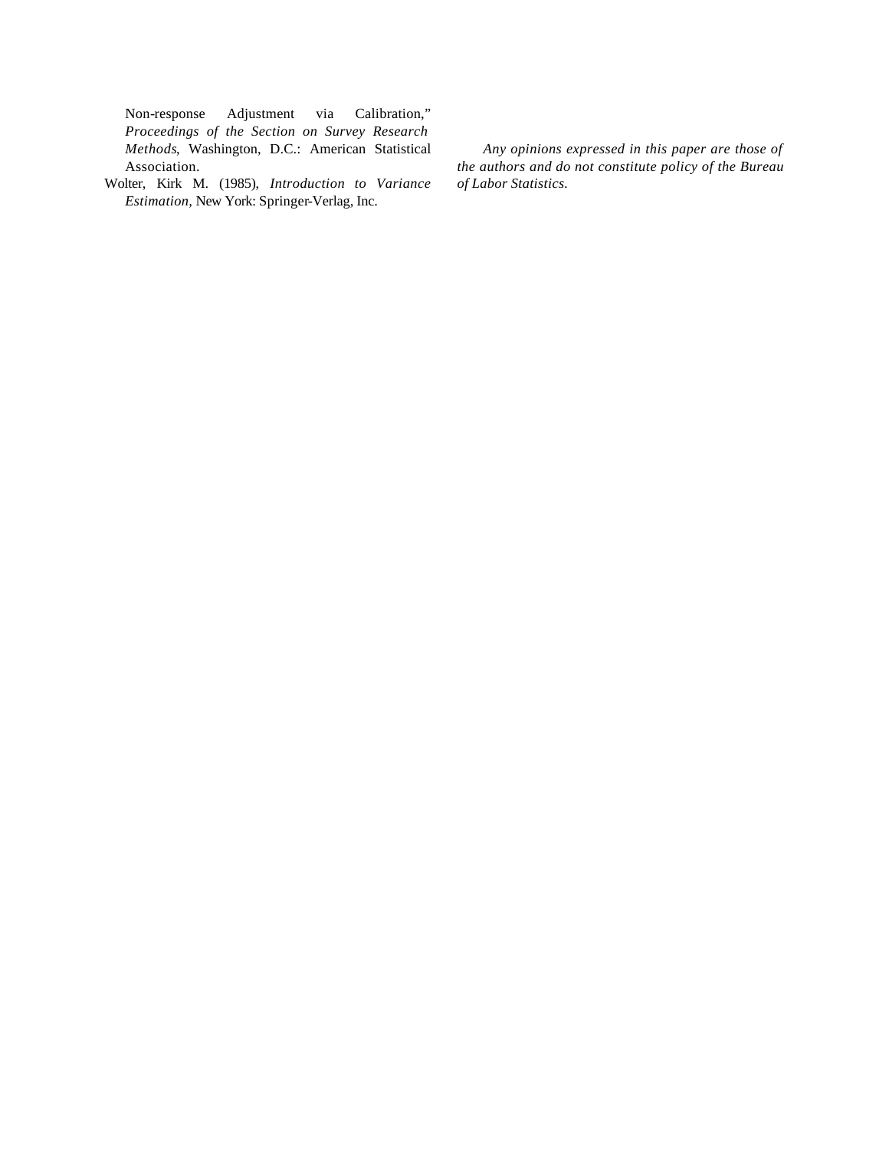Non-response Adjustment via Calibration," *Proceedings of the Section on Survey Research Methods*, Washington, D.C.: American Statistical Association.

Wolter, Kirk M. (1985), *Introduction to Variance Estimation,* New York: Springer-Verlag, Inc.

*Any opinions expressed in this paper are those of the authors and do not constitute policy of the Bureau of Labor Statistics.*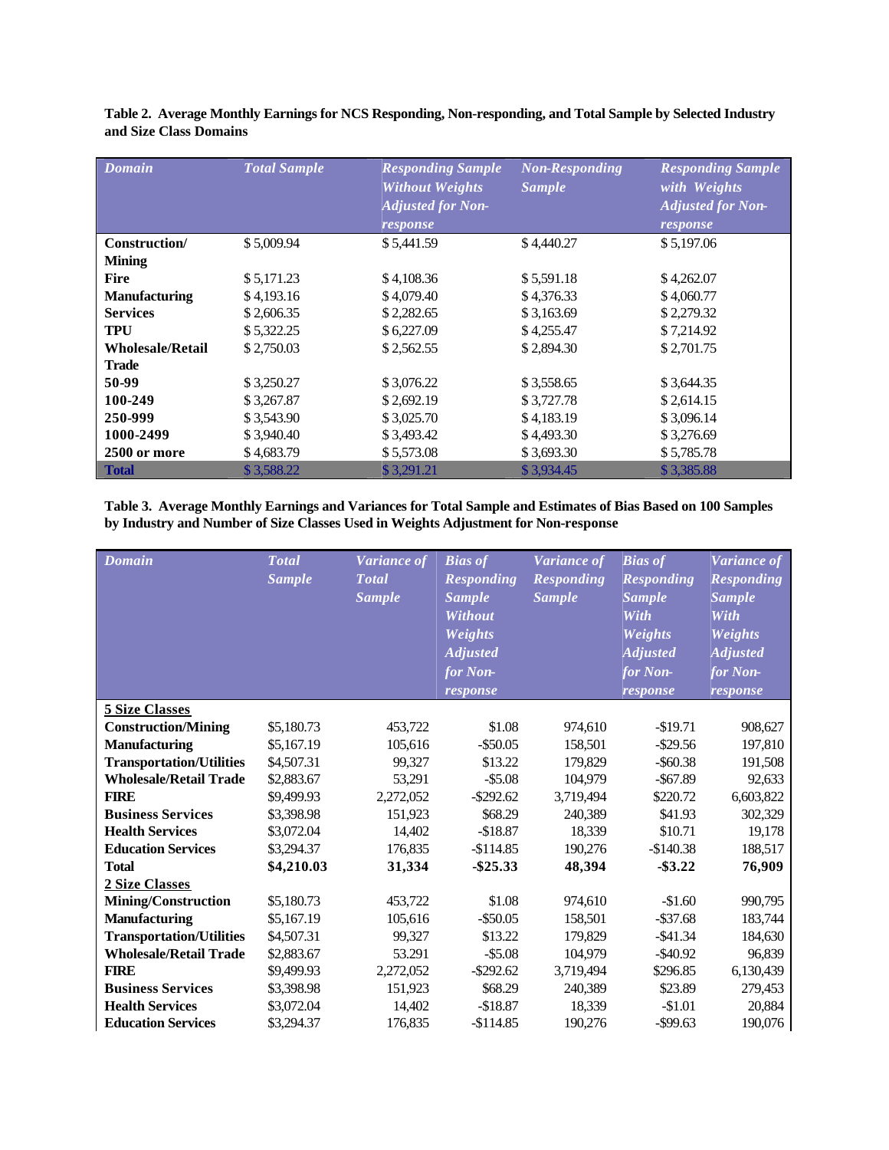| Domain                  | <b>Total Sample</b> | <b>Responding Sample</b><br><b>Without Weights</b><br><b>Adjusted for Non-</b><br>response | <b>Non-Responding</b><br><b>Sample</b> | <b>Responding Sample</b><br>with Weights<br><b>Adjusted for Non-</b><br>response |
|-------------------------|---------------------|--------------------------------------------------------------------------------------------|----------------------------------------|----------------------------------------------------------------------------------|
| Construction/           | \$5,009.94          | \$5,441.59                                                                                 | \$4,440.27                             | \$5,197.06                                                                       |
| <b>Mining</b>           |                     |                                                                                            |                                        |                                                                                  |
| <b>Fire</b>             | \$5,171.23          | \$4,108.36                                                                                 | \$5,591.18                             | \$4,262.07                                                                       |
| <b>Manufacturing</b>    | \$4,193.16          | \$4,079.40                                                                                 | \$4,376.33                             | \$4,060.77                                                                       |
| <b>Services</b>         | \$2,606.35          | \$2,282.65                                                                                 | \$3,163.69                             | \$2,279.32                                                                       |
| <b>TPU</b>              | \$5,322.25          | \$6,227.09                                                                                 | \$4,255.47                             | \$7,214.92                                                                       |
| <b>Wholesale/Retail</b> | \$2,750.03          | \$2,562.55                                                                                 | \$2,894.30                             | \$2,701.75                                                                       |
| <b>Trade</b>            |                     |                                                                                            |                                        |                                                                                  |
| 50-99                   | \$3,250.27          | \$3,076.22                                                                                 | \$3,558.65                             | \$3,644.35                                                                       |
| 100-249                 | \$3,267.87          | \$2,692.19                                                                                 | \$3,727.78                             | \$2,614.15                                                                       |
| 250-999                 | \$3,543.90          | \$3,025.70                                                                                 | \$4,183.19                             | \$3,096.14                                                                       |
| 1000-2499               | \$3,940.40          | \$3,493.42                                                                                 | \$4,493.30                             | \$3,276.69                                                                       |
| 2500 or more            | \$4,683.79          | \$5,573.08                                                                                 | \$3,693.30                             | \$5,785.78                                                                       |
| <b>Total</b>            | \$3,588.22          | \$3,291.21                                                                                 | \$3,934.45                             | \$3,385.88                                                                       |

**Table 2. Average Monthly Earnings for NCS Responding, Non-responding, and Total Sample by Selected Industry and Size Class Domains** 

**Table 3. Average Monthly Earnings and Variances for Total Sample and Estimates of Bias Based on 100 Samples by Industry and Number of Size Classes Used in Weights Adjustment for Non-response** 

| <b>Domain</b>                   | <b>Total</b><br><b>Sample</b> | Variance of<br><b>Total</b><br><b>Sample</b> | <b>Bias of</b><br><b>Responding</b><br><b>Sample</b><br>Without<br>Weights<br><b>Adjusted</b><br>for Non-<br>response | <b>Variance of</b><br><b>Responding</b><br><b>Sample</b> | <b>Bias of</b><br><b>Responding</b><br><b>Sample</b><br>With<br><b>Weights</b><br><b>Adjusted</b><br>for Non-<br>response | Variance of<br><b>Responding</b><br><b>Sample</b><br>With<br>Weights<br><b>Adjusted</b><br>for Non-<br>response |
|---------------------------------|-------------------------------|----------------------------------------------|-----------------------------------------------------------------------------------------------------------------------|----------------------------------------------------------|---------------------------------------------------------------------------------------------------------------------------|-----------------------------------------------------------------------------------------------------------------|
| <b>5 Size Classes</b>           |                               |                                              |                                                                                                                       |                                                          |                                                                                                                           |                                                                                                                 |
| <b>Construction/Mining</b>      | \$5,180.73                    | 453,722                                      | \$1.08                                                                                                                | 974,610                                                  | $-$19.71$                                                                                                                 | 908,627                                                                                                         |
| <b>Manufacturing</b>            | \$5,167.19                    | 105,616                                      | $-$ \$50.05                                                                                                           | 158,501                                                  | $-$ \$29.56                                                                                                               | 197,810                                                                                                         |
| <b>Transportation/Utilities</b> | \$4,507.31                    | 99,327                                       | \$13.22                                                                                                               | 179,829                                                  | $-$ \$60.38                                                                                                               | 191,508                                                                                                         |
| <b>Wholesale/Retail Trade</b>   | \$2,883.67                    | 53,291                                       | $-$ \$5.08                                                                                                            | 104,979                                                  | $-$ \$67.89                                                                                                               | 92,633                                                                                                          |
| <b>FIRE</b>                     | \$9,499.93                    | 2,272,052                                    | $-$ \$292.62                                                                                                          | 3,719,494                                                | \$220.72                                                                                                                  | 6,603,822                                                                                                       |
| <b>Business Services</b>        | \$3,398.98                    | 151,923                                      | \$68.29                                                                                                               | 240,389                                                  | \$41.93                                                                                                                   | 302,329                                                                                                         |
| <b>Health Services</b>          | \$3,072.04                    | 14.402                                       | $-$18.87$                                                                                                             | 18,339                                                   | \$10.71                                                                                                                   | 19,178                                                                                                          |
| <b>Education Services</b>       | \$3,294.37                    | 176,835                                      | $-$114.85$                                                                                                            | 190,276                                                  | $-$140.38$                                                                                                                | 188,517                                                                                                         |
| <b>Total</b>                    | \$4,210.03                    | 31,334                                       | $-$ \$25.33                                                                                                           | 48,394                                                   | $-$ \$3.22                                                                                                                | 76,909                                                                                                          |
| <b>2 Size Classes</b>           |                               |                                              |                                                                                                                       |                                                          |                                                                                                                           |                                                                                                                 |
| <b>Mining/Construction</b>      | \$5,180.73                    | 453,722                                      | \$1.08                                                                                                                | 974,610                                                  | $-$1.60$                                                                                                                  | 990,795                                                                                                         |
| <b>Manufacturing</b>            | \$5,167.19                    | 105,616                                      | $-$ \$50.05                                                                                                           | 158,501                                                  | $-$ \$37.68                                                                                                               | 183,744                                                                                                         |
| <b>Transportation/Utilities</b> | \$4,507.31                    | 99,327                                       | \$13.22                                                                                                               | 179,829                                                  | $-$ \$41.34                                                                                                               | 184,630                                                                                                         |
| <b>Wholesale/Retail Trade</b>   | \$2,883.67                    | 53.291                                       | $-$ \$5.08                                                                                                            | 104,979                                                  | $-$ \$40.92                                                                                                               | 96,839                                                                                                          |
| <b>FIRE</b>                     | \$9,499.93                    | 2,272,052                                    | $-$ \$292.62                                                                                                          | 3,719,494                                                | \$296.85                                                                                                                  | 6,130,439                                                                                                       |
| <b>Business Services</b>        | \$3,398.98                    | 151,923                                      | \$68.29                                                                                                               | 240,389                                                  | \$23.89                                                                                                                   | 279,453                                                                                                         |
| <b>Health Services</b>          | \$3,072.04                    | 14,402                                       | $-$18.87$                                                                                                             | 18,339                                                   | $-$1.01$                                                                                                                  | 20,884                                                                                                          |
| <b>Education Services</b>       | \$3,294.37                    | 176,835                                      | $-$114.85$                                                                                                            | 190,276                                                  | $-$ \$99.63                                                                                                               | 190,076                                                                                                         |